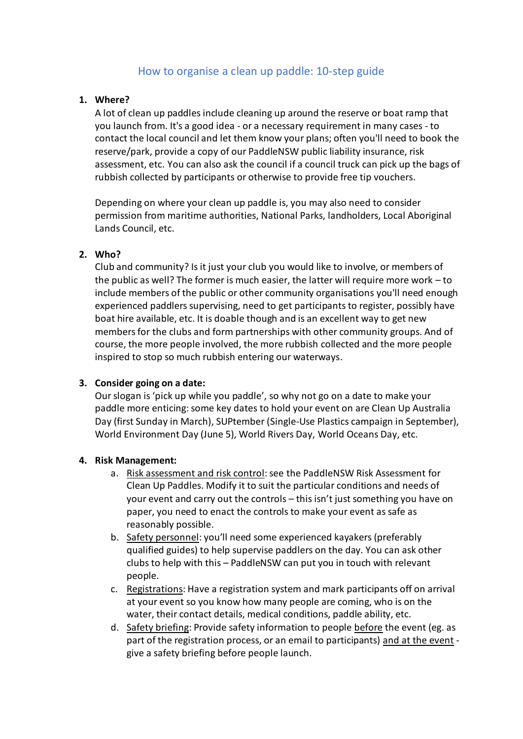# How to organise a clean up paddle: 10-step guide

#### **1. Where?**

A lot of clean up paddles include cleaning up around the reserve or boat ramp that you launch from. It's a good idea - or a necessary requirement in many cases - to contact the local council and let them know your plans; often you'll need to book the reserve/park, provide a copy of our PaddleNSW public liability insurance, risk assessment, etc. You can also ask the council if a council truck can pick up the bags of rubbish collected by participants or otherwise to provide free tip vouchers.

Depending on where your clean up paddle is, you may also need to consider permission from maritime authorities, National Parks, landholders, Local Aboriginal Lands Council, etc.

#### **2. Who?**

Club and community? Is it just your club you would like to involve, or members of the public as well? The former is much easier, the latter will require more work – to include members of the public or other community organisations you'll need enough experienced paddlers supervising, need to get participants to register, possibly have boat hire available, etc. It is doable though and is an excellent way to get new members for the clubs and form partnerships with other community groups. And of course, the more people involved, the more rubbish collected and the more people inspired to stop so much rubbish entering our waterways.

# **3. Consider going on a date:**

Our slogan is 'pick up while you paddle', so why not go on a date to make your paddle more enticing: some key dates to hold your event on are Clean Up Australia Day (first Sunday in March), SUPtember (Single-Use Plastics campaign in September), World Environment Day (June 5), World Rivers Day, World Oceans Day, etc.

#### **4. Risk Management:**

- a. Risk assessment and risk control: see the PaddleNSW Risk Assessment for Clean Up Paddles. Modify it to suit the particular conditions and needs of your event and carry out the controls – this isn't just something you have on paper, you need to enact the controls to make your event as safe as reasonably possible.
- b. Safety personnel: you'll need some experienced kayakers (preferably qualified guides) to help supervise paddlers on the day. You can ask other clubs to help with this – PaddleNSW can put you in touch with relevant people.
- c. Registrations: Have a registration system and mark participants off on arrival at your event so you know how many people are coming, who is on the water, their contact details, medical conditions, paddle ability, etc.
- d. Safety briefing: Provide safety information to people before the event (eg. as part of the registration process, or an email to participants) and at the event give a safety briefing before people launch.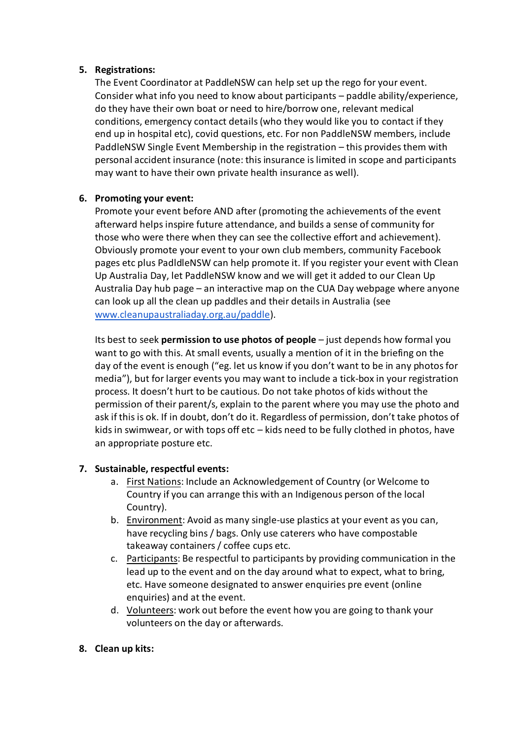#### **5. Registrations:**

The Event Coordinator at PaddleNSW can help set up the rego for your event. Consider what info you need to know about participants – paddle ability/experience, do they have their own boat or need to hire/borrow one, relevant medical conditions, emergency contact details (who they would like you to contact if they end up in hospital etc), covid questions, etc. For non PaddleNSW members, include PaddleNSW Single Event Membership in the registration – this provides them with personal accident insurance (note: this insurance is limited in scope and participants may want to have their own private health insurance as well).

# **6. Promoting your event:**

Promote your event before AND after (promoting the achievements of the event afterward helps inspire future attendance, and builds a sense of community for those who were there when they can see the collective effort and achievement). Obviously promote your event to your own club members, community Facebook pages etc plus PadldleNSW can help promote it. If you register your event with Clean Up Australia Day, let PaddleNSW know and we will get it added to our Clean Up Australia Day hub page – an interactive map on the CUA Day webpage where anyone can look up all the clean up paddles and their details in Australia (see [www.cleanupaustraliaday.org.au/paddle\)](http://www.cleanupaustraliaday.org.au/paddle).

Its best to seek **permission to use photos of people** – just depends how formal you want to go with this. At small events, usually a mention of it in the briefing on the day of the event is enough ("eg. let us know if you don't want to be in any photos for media"), but for larger events you may want to include a tick-box in your registration process. It doesn't hurt to be cautious. Do not take photos of kids without the permission of their parent/s, explain to the parent where you may use the photo and ask if this is ok. If in doubt, don't do it. Regardless of permission, don't take photos of kids in swimwear, or with tops off etc – kids need to be fully clothed in photos, have an appropriate posture etc.

# **7. Sustainable, respectful events:**

- a. First Nations: Include an Acknowledgement of Country (or Welcome to Country if you can arrange this with an Indigenous person of the local Country).
- b. Environment: Avoid as many single-use plastics at your event as you can, have recycling bins / bags. Only use caterers who have compostable takeaway containers / coffee cups etc.
- c. Participants: Be respectful to participants by providing communication in the lead up to the event and on the day around what to expect, what to bring, etc. Have someone designated to answer enquiries pre event (online enquiries) and at the event.
- d. Volunteers: work out before the event how you are going to thank your volunteers on the day or afterwards.
- **8. Clean up kits:**